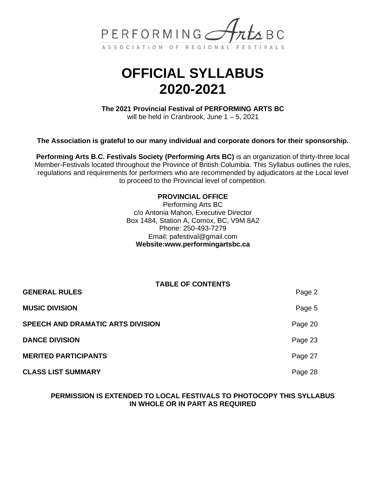

# **OFFICIAL SYLLABUS 2020-2021**

**The 2021 Provincial Festival of PERFORMING ARTS BC**

will be held in Cranbrook, June  $1 - 5$ , 2021

**The Association is grateful to our many individual and corporate donors for their sponsorship.**

**Performing Arts B.C. Festivals Society (Performing Arts BC)** is an organization of thirty-three local Member-Festivals located throughout the Province of British Columbia. This Syllabus outlines the rules, regulations and requirements for performers who are recommended by adjudicators at the Local level to proceed to the Provincial level of competition.

#### **PROVINCIAL OFFICE**

Performing Arts BC c/o Antonia Mahon, Executive Director Box 1484, Station A, Comox, BC, V9M 8A2 Phone: 250-493-7279 Email: [pafestival@gmail.com](mailto:pafestival@gmail.com) **Website:www.performingartsbc.ca**

|                                   | <b>TABLE OF CONTENTS</b> |         |
|-----------------------------------|--------------------------|---------|
| <b>GENERAL RULES</b>              |                          | Page 2  |
| <b>MUSIC DIVISION</b>             |                          | Page 5  |
| SPEECH AND DRAMATIC ARTS DIVISION |                          | Page 20 |
| <b>DANCE DIVISION</b>             |                          | Page 23 |
| <b>MERITED PARTICIPANTS</b>       |                          | Page 27 |
| <b>CLASS LIST SUMMARY</b>         |                          | Page 28 |

#### **PERMISSION IS EXTENDED TO LOCAL FESTIVALS TO PHOTOCOPY THIS SYLLABUS IN WHOLE OR IN PART AS REQUIRED**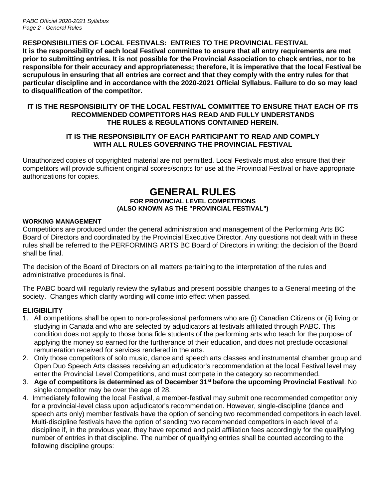# **RESPONSIBILITIES OF LOCAL FESTIVALS: ENTRIES TO THE PROVINCIAL FESTIVAL**

**It is the responsibility of each local Festival committee to ensure that all entry requirements are met prior to submitting entries. It is not possible for the Provincial Association to check entries, nor to be responsible for their accuracy and appropriateness; therefore, it is imperative that the local Festival be scrupulous in ensuring that all entries are correct and that they comply with the entry rules for that particular discipline and in accordance with the 2020-2021 Official Syllabus. Failure to do so may lead to disqualification of the competitor.**

#### **IT IS THE RESPONSIBILITY OF THE LOCAL FESTIVAL COMMITTEE TO ENSURE THAT EACH OF ITS RECOMMENDED COMPETITORS HAS READ AND FULLY UNDERSTANDS THE RULES & REGULATIONS CONTAINED HEREIN.**

### **IT IS THE RESPONSIBILITY OF EACH PARTICIPANT TO READ AND COMPLY WITH ALL RULES GOVERNING THE PROVINCIAL FESTIVAL**

Unauthorized copies of copyrighted material are not permitted. Local Festivals must also ensure that their competitors will provide sufficient original scores/scripts for use at the Provincial Festival or have appropriate authorizations for copies.

# **GENERAL RULES FOR PROVINCIAL LEVEL COMPETITIONS (ALSO KNOWN AS THE "PROVINCIAL FESTIVAL")**

#### **WORKING MANAGEMENT**

Competitions are produced under the general administration and management of the Performing Arts BC Board of Directors and coordinated by the Provincial Executive Director. Any questions not dealt with in these rules shall be referred to the PERFORMING ARTS BC Board of Directors in writing: the decision of the Board shall be final.

The decision of the Board of Directors on all matters pertaining to the interpretation of the rules and administrative procedures is final.

The PABC board will regularly review the syllabus and present possible changes to a General meeting of the society. Changes which clarify wording will come into effect when passed.

# **ELIGIBILITY**

- 1. All competitions shall be open to non-professional performers who are (i) Canadian Citizens or (ii) living or studying in Canada and who are selected by adjudicators at festivals affiliated through PABC. This condition does not apply to those bona fide students of the performing arts who teach for the purpose of applying the money so earned for the furtherance of their education, and does not preclude occasional remuneration received for services rendered in the arts.
- 2. Only those competitors of solo music, dance and speech arts classes and instrumental chamber group and Open Duo Speech Arts classes receiving an adjudicator's recommendation at the local Festival level may enter the Provincial Level Competitions, and must compete in the category so recommended.
- 3. **Age of competitors is determined as of December 31st before the upcoming Provincial Festival**. No single competitor may be over the age of 28.
- 4. Immediately following the local Festival, a member-festival may submit one recommended competitor only for a provincial-level class upon adjudicator's recommendation. However, single-discipline (dance and speech arts only) member festivals have the option of sending two recommended competitors in each level. Multi-discipline festivals have the option of sending two recommended competitors in each level of a discipline if, in the previous year, they have reported and paid affiliation fees accordingly for the qualifying number of entries in that discipline. The number of qualifying entries shall be counted according to the following discipline groups: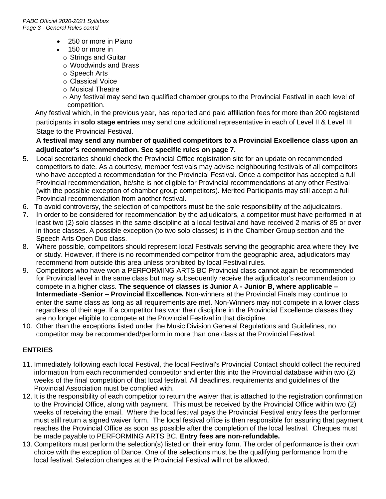- 250 or more in Piano
- 150 or more in
	- o Strings and Guitar
	- o Woodwinds and Brass
	- o Speech Arts
	- o Classical Voice
	- o Musical Theatre
	- o Any festival may send two qualified chamber groups to the Provincial Festival in each level of competition.

 Any festival which, in the previous year, has reported and paid affiliation fees for more than 200 registered participants in **solo stage entries** may send one additional representative in each of Level II & Level III Stage to the Provincial Festival.

# **A festival may send any number of qualified competitors to a Provincial Excellence class upon an adjudicator's recommendation. See specific rules on page 7.**

- 5. Local secretaries should check the Provincial Office registration site for an update on recommended competitors to date. As a courtesy, member festivals may advise neighbouring festivals of all competitors who have accepted a recommendation for the Provincial Festival. Once a competitor has accepted a full Provincial recommendation, he/she is not eligible for Provincial recommendations at any other Festival (with the possible exception of chamber group competitors). Merited Participants may still accept a full Provincial recommendation from another festival.
- 6. To avoid controversy, the selection of competitors must be the sole responsibility of the adjudicators.
- 7. In order to be considered for recommendation by the adjudicators, a competitor must have performed in at least two (2) solo classes in the same discipline at a local festival and have received 2 marks of 85 or over in those classes. A possible exception (to two solo classes) is in the Chamber Group section and the Speech Arts Open Duo class.
- 8. Where possible, competitors should represent local Festivals serving the geographic area where they live or study. However, if there is no recommended competitor from the geographic area, adjudicators may recommend from outside this area unless prohibited by local Festival rules.
- 9. Competitors who have won a PERFORMING ARTS BC Provincial class cannot again be recommended for Provincial level in the same class but may subsequently receive the adjudicator's recommendation to compete in a higher class. **The sequence of classes is Junior A - Junior B, where applicable – Intermediate -Senior – Provincial Excellence.** Non-winners at the Provincial Finals may continue to enter the same class as long as all requirements are met. Non-Winners may not compete in a lower class regardless of their age. If a competitor has won their discipline in the Provincial Excellence classes they are no longer eligible to compete at the Provincial Festival in that discipline.
- 10. Other than the exceptions listed under the Music Division General Regulations and Guidelines, no competitor may be recommended/perform in more than one class at the Provincial Festival.

# **ENTRIES**

- 11. Immediately following each local Festival, the local Festival's Provincial Contact should collect the required information from each recommended competitor and enter this into the Provincial database within two (2) weeks of the final competition of that local festival. All deadlines, requirements and guidelines of the Provincial Association must be complied with.
- 12. It is the responsibility of each competitor to return the waiver that is attached to the registration confirmation to the Provincial Office, along with payment. This must be received by the Provincial Office within two (2) weeks of receiving the email. Where the local festival pays the Provincial Festival entry fees the performer must still return a signed waiver form. The local festival office is then responsible for assuring that payment reaches the Provincial Office as soon as possible after the completion of the local festival. Cheques must be made payable to PERFORMING ARTS BC. **Entry fees are non-refundable.**
- 13. Competitors must perform the selection(s) listed on their entry form. The order of performance is their own choice with the exception of Dance. One of the selections must be the qualifying performance from the local festival. Selection changes at the Provincial Festival will not be allowed.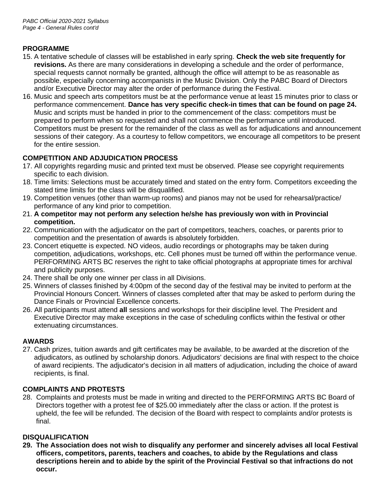# **PROGRAMME**

- 15. A tentative schedule of classes will be established in early spring. **Check the web site frequently for revisions.** As there are many considerations in developing a schedule and the order of performance, special requests cannot normally be granted, although the office will attempt to be as reasonable as possible, especially concerning accompanists in the Music Division. Only the PABC Board of Directors and/or Executive Director may alter the order of performance during the Festival.
- 16. Music and speech arts competitors must be at the performance venue at least 15 minutes prior to class or performance commencement. **Dance has very specific check-in times that can be found on page 24.** Music and scripts must be handed in prior to the commencement of the class: competitors must be prepared to perform when so requested and shall not commence the performance until introduced. Competitors must be present for the remainder of the class as well as for adjudications and announcement sessions of their category. As a courtesy to fellow competitors, we encourage all competitors to be present for the entire session.

# **COMPETITION AND ADJUDICATION PROCESS**

- 17. All copyrights regarding music and printed text must be observed. Please see copyright requirements specific to each division.
- 18. Time limits: Selections must be accurately timed and stated on the entry form. Competitors exceeding the stated time limits for the class will be disqualified.
- 19. Competition venues (other than warm-up rooms) and pianos may not be used for rehearsal/practice/ performance of any kind prior to competition.
- 21. **A competitor may not perform any selection he/she has previously won with in Provincial competition.**
- 22. Communication with the adjudicator on the part of competitors, teachers, coaches, or parents prior to competition and the presentation of awards is absolutely forbidden.
- 23. Concert etiquette is expected. NO videos, audio recordings or photographs may be taken during competition, adjudications, workshops, etc. Cell phones must be turned off within the performance venue. PERFORMING ARTS BC reserves the right to take official photographs at appropriate times for archival and publicity purposes.
- 24. There shall be only one winner per class in all Divisions.
- 25. Winners of classes finished by 4:00pm of the second day of the festival may be invited to perform at the Provincial Honours Concert. Winners of classes completed after that may be asked to perform during the Dance Finals or Provincial Excellence concerts.
- 26. All participants must attend **all** sessions and workshops for their discipline level. The President and Executive Director may make exceptions in the case of scheduling conflicts within the festival or other extenuating circumstances.

# **AWARDS**

27. Cash prizes, tuition awards and gift certificates may be available, to be awarded at the discretion of the adjudicators, as outlined by scholarship donors. Adjudicators' decisions are final with respect to the choice of award recipients. The adjudicator's decision in all matters of adjudication, including the choice of award recipients, is final.

# **COMPLAINTS AND PROTESTS**

28. Complaints and protests must be made in writing and directed to the PERFORMING ARTS BC Board of Directors together with a protest fee of \$25.00 immediately after the class or action. If the protest is upheld, the fee will be refunded. The decision of the Board with respect to complaints and/or protests is final.

# **DISQUALIFICATION**

**29. The Association does not wish to disqualify any performer and sincerely advises all local Festival officers, competitors, parents, teachers and coaches, to abide by the Regulations and class descriptions herein and to abide by the spirit of the Provincial Festival so that infractions do not occur.**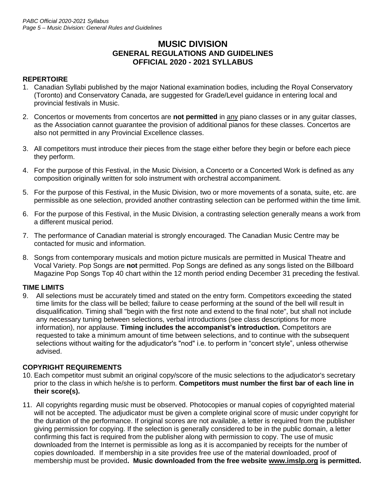# **MUSIC DIVISION GENERAL REGULATIONS AND GUIDELINES OFFICIAL 2020 - 2021 SYLLABUS**

# **REPERTOIRE**

- 1. Canadian Syllabi published by the major National examination bodies, including the Royal Conservatory (Toronto) and Conservatory Canada, are suggested for Grade/Level guidance in entering local and provincial festivals in Music.
- 2. Concertos or movements from concertos are not permitted in any piano classes or in any guitar classes, as the Association cannot guarantee the provision of additional pianos for these classes. Concertos are also not permitted in any Provincial Excellence classes.
- 3. All competitors must introduce their pieces from the stage either before they begin or before each piece they perform.
- 4. For the purpose of this Festival, in the Music Division, a Concerto or a Concerted Work is defined as any composition originally written for solo instrument with orchestral accompaniment.
- 5. For the purpose of this Festival, in the Music Division, two or more movements of a sonata, suite, etc. are permissible as one selection, provided another contrasting selection can be performed within the time limit.
- 6. For the purpose of this Festival, in the Music Division, a contrasting selection generally means a work from a different musical period.
- 7. The performance of Canadian material is strongly encouraged. The Canadian Music Centre may be contacted for music and information.
- 8. Songs from contemporary musicals and motion picture musicals are permitted in Musical Theatre and Vocal Variety. Pop Songs are **not** permitted. Pop Songs are defined as any songs listed on the Billboard Magazine Pop Songs Top 40 chart within the 12 month period ending December 31 preceding the festival.

### **TIME LIMITS**

9. All selections must be accurately timed and stated on the entry form. Competitors exceeding the stated time limits for the class will be belled; failure to cease performing at the sound of the bell will result in disqualification. Timing shall "begin with the first note and extend to the final note", but shall not include any necessary tuning between selections, verbal introductions (see class descriptions for more information), nor applause. **Timing includes the accompanist's introduction.** Competitors are requested to take a minimum amount of time between selections, and to continue with the subsequent selections without waiting for the adjudicator's "nod" i.e. to perform in "concert style", unless otherwise advised.

### **COPYRIGHT REQUIREMENTS**

- 10. Each competitor must submit an original copy/score of the music selections to the adjudicator's secretary prior to the class in which he/she is to perform. **Competitors must number the first bar of each line in their score(s).**
- 11. All copyrights regarding music must be observed. Photocopies or manual copies of copyrighted material will not be accepted. The adjudicator must be given a complete original score of music under copyright for the duration of the performance. If original scores are not available, a letter is required from the publisher giving permission for copying. If the selection is generally considered to be in the public domain, a letter confirming this fact is required from the publisher along with permission to copy. The use of music downloaded from the Internet is permissible as long as it is accompanied by receipts for the number of copies downloaded. If membership in a site provides free use of the material downloaded, proof of membership must be provided**. Music downloaded from the free website www.imslp.org is permitted.**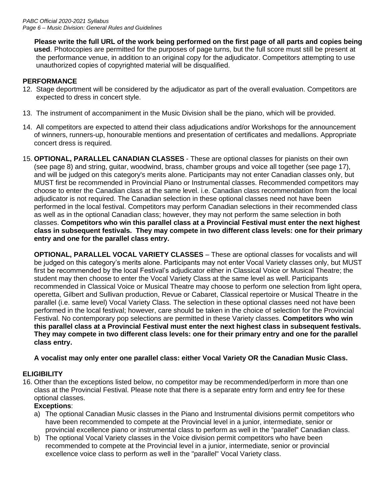**Please write the full URL of the work being performed on the first page of all parts and copies being used**. Photocopies are permitted for the purposes of page turns, but the full score must still be present at the performance venue, in addition to an original copy for the adjudicator. Competitors attempting to use unauthorized copies of copyrighted material will be disqualified.

# **PERFORMANCE**

- 12. Stage deportment will be considered by the adjudicator as part of the overall evaluation. Competitors are expected to dress in concert style.
- 13. The instrument of accompaniment in the Music Division shall be the piano, which will be provided.
- 14. All competitors are expected to attend their class adjudications and/or Workshops for the announcement of winners, runners-up, honourable mentions and presentation of certificates and medallions. Appropriate concert dress is required.
- 15. **OPTIONAL, PARALLEL CANADIAN CLASSES**  These are optional classes for pianists on their own (see page 8) and string, guitar, woodwind, brass, chamber groups and voice all together (see page 17), and will be judged on this category's merits alone. Participants may not enter Canadian classes only, but MUST first be recommended in Provincial Piano or Instrumental classes. Recommended competitors may choose to enter the Canadian class at the same level. i.e. Canadian class recommendation from the local adjudicator is not required. The Canadian selection in these optional classes need not have been performed in the local festival. Competitors may perform Canadian selections in their recommended class as well as in the optional Canadian class; however, they may not perform the same selection in both classes. **Competitors who win this parallel class at a Provincial Festival must enter the next highest class in subsequent festivals. They may compete in two different class levels: one for their primary entry and one for the parallel class entry.**

**OPTIONAL, PARALLEL VOCAL VARIETY CLASSES** – These are optional classes for vocalists and will be judged on this category's merits alone. Participants may not enter Vocal Variety classes only, but MUST first be recommended by the local Festival's adjudicator either in Classical Voice or Musical Theatre; the student may then choose to enter the Vocal Variety Class at the same level as well. Participants recommended in Classical Voice or Musical Theatre may choose to perform one selection from light opera, operetta, Gilbert and Sullivan production, Revue or Cabaret, Classical repertoire or Musical Theatre in the parallel (i.e. same level) Vocal Variety Class. The selection in these optional classes need not have been performed in the local festival; however, care should be taken in the choice of selection for the Provincial Festival. No contemporary pop selections are permitted in these Variety classes. **Competitors who win this parallel class at a Provincial Festival must enter the next highest class in subsequent festivals. They may compete in two different class levels: one for their primary entry and one for the parallel class entry.**

# **A vocalist may only enter one parallel class: either Vocal Variety OR the Canadian Music Class.**

# **ELIGIBILITY**

16. Other than the exceptions listed below, no competitor may be recommended/perform in more than one class at the Provincial Festival. Please note that there is a separate entry form and entry fee for these optional classes.

### **Exceptions**:

- a) The optional Canadian Music classes in the Piano and Instrumental divisions permit competitors who have been recommended to compete at the Provincial level in a junior, intermediate, senior or provincial excellence piano or instrumental class to perform as well in the "parallel" Canadian class.
- b) The optional Vocal Variety classes in the Voice division permit competitors who have been recommended to compete at the Provincial level in a junior, intermediate, senior or provincial excellence voice class to perform as well in the "parallel" Vocal Variety class.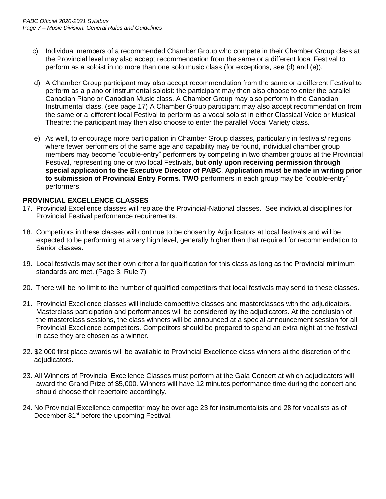- c) Individual members of a recommended Chamber Group who compete in their Chamber Group class at the Provincial level may also accept recommendation from the same or a different local Festival to perform as a soloist in no more than one solo music class (for exceptions, see (d) and (e)).
- d) A Chamber Group participant may also accept recommendation from the same or a different Festival to perform as a piano or instrumental soloist: the participant may then also choose to enter the parallel Canadian Piano or Canadian Music class. A Chamber Group may also perform in the Canadian Instrumental class. (see page 17) A Chamber Group participant may also accept recommendation from the same or a different local Festival to perform as a vocal soloist in either Classical Voice or Musical Theatre: the participant may then also choose to enter the parallel Vocal Variety class.
- e) As well, to encourage more participation in Chamber Group classes, particularly in festivals/ regions where fewer performers of the same age and capability may be found, individual chamber group members may become "double-entry" performers by competing in two chamber groups at the Provincial Festival, representing one or two local Festivals, **but only upon receiving permission through special application to the Executive Director of PABC**. **Application must be made in writing prior to submission of Provincial Entry Forms. TWO** performers in each group may be "double-entry" performers.

### **PROVINCIAL EXCELLENCE CLASSES**

- 17. Provincial Excellence classes will replace the Provincial-National classes. See individual disciplines for Provincial Festival performance requirements.
- 18. Competitors in these classes will continue to be chosen by Adjudicators at local festivals and will be expected to be performing at a very high level, generally higher than that required for recommendation to Senior classes.
- 19. Local festivals may set their own criteria for qualification for this class as long as the Provincial minimum standards are met. (Page 3, Rule 7)
- 20. There will be no limit to the number of qualified competitors that local festivals may send to these classes.
- 21. Provincial Excellence classes will include competitive classes and masterclasses with the adjudicators. Masterclass participation and performances will be considered by the adjudicators. At the conclusion of the masterclass sessions, the class winners will be announced at a special announcement session for all Provincial Excellence competitors. Competitors should be prepared to spend an extra night at the festival in case they are chosen as a winner.
- 22. \$2,000 first place awards will be available to Provincial Excellence class winners at the discretion of the adjudicators.
- 23. All Winners of Provincial Excellence Classes must perform at the Gala Concert at which adjudicators will award the Grand Prize of \$5,000. Winners will have 12 minutes performance time during the concert and should choose their repertoire accordingly.
- 24. No Provincial Excellence competitor may be over age 23 for instrumentalists and 28 for vocalists as of December 31<sup>st</sup> before the upcoming Festival.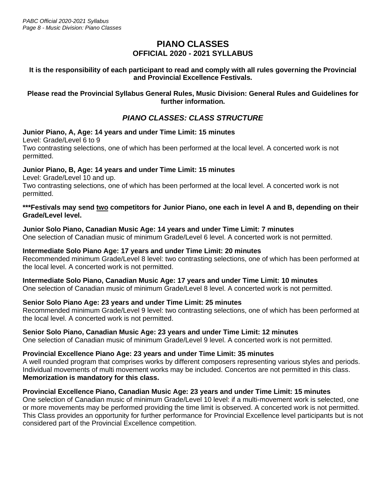# **PIANO CLASSES OFFICIAL 2020 - 2021 SYLLABUS**

### **It is the responsibility of each participant to read and comply with all rules governing the Provincial and Provincial Excellence Festivals.**

### **Please read the Provincial Syllabus General Rules, Music Division: General Rules and Guidelines for further information.**

# *PIANO CLASSES: CLASS STRUCTURE*

### **Junior Piano, A, Age: 14 years and under Time Limit: 15 minutes**

Level: Grade/Level 6 to 9

Two contrasting selections, one of which has been performed at the local level. A concerted work is not permitted.

# **Junior Piano, B, Age: 14 years and under Time Limit: 15 minutes**

Level: Grade/Level 10 and up.

Two contrasting selections, one of which has been performed at the local level. A concerted work is not permitted.

#### \*\*\*Festivals may send two competitors for Junior Piano, one each in level A and B, depending on their **Grade/Level level.**

### **Junior Solo Piano, Canadian Music Age: 14 years and under Time Limit: 7 minutes**

One selection of Canadian music of minimum Grade/Level 6 level. A concerted work is not permitted.

# **Intermediate Solo Piano Age: 17 years and under Time Limit: 20 minutes**

Recommended minimum Grade/Level 8 level: two contrasting selections, one of which has been performed at the local level. A concerted work is not permitted.

# **Intermediate Solo Piano, Canadian Music Age: 17 years and under Time Limit: 10 minutes**

One selection of Canadian music of minimum Grade/Level 8 level. A concerted work is not permitted.

### **Senior Solo Piano Age: 23 years and under Time Limit: 25 minutes**

Recommended minimum Grade/Level 9 level: two contrasting selections, one of which has been performed at the local level. A concerted work is not permitted.

### **Senior Solo Piano, Canadian Music Age: 23 years and under Time Limit: 12 minutes**

One selection of Canadian music of minimum Grade/Level 9 level. A concerted work is not permitted.

### **Provincial Excellence Piano Age: 23 years and under Time Limit: 35 minutes**

A well rounded program that comprises works by different composers representing various styles and periods. Individual movements of multi movement works may be included. Concertos are not permitted in this class. **Memorization is mandatory for this class.**

### **Provincial Excellence Piano, Canadian Music Age: 23 years and under Time Limit: 15 minutes**

One selection of Canadian music of minimum Grade/Level 10 level: if a multi-movement work is selected, one or more movements may be performed providing the time limit is observed. A concerted work is not permitted. This Class provides an opportunity for further performance for Provincial Excellence level participants but is not considered part of the Provincial Excellence competition.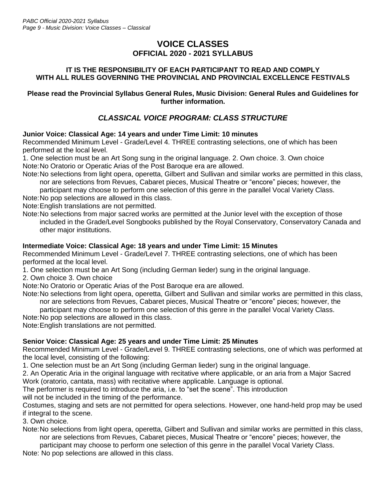# **VOICE CLASSES OFFICIAL 2020 - 2021 SYLLABUS**

### **IT IS THE RESPONSIBILITY OF EACH PARTICIPANT TO READ AND COMPLY WITH ALL RULES GOVERNING THE PROVINCIAL AND PROVINCIAL EXCELLENCE FESTIVALS**

### **Please read the Provincial Syllabus General Rules, Music Division: General Rules and Guidelines for further information.**

# *CLASSICAL VOICE PROGRAM: CLASS STRUCTURE*

### **Junior Voice: Classical Age: 14 years and under Time Limit: 10 minutes**

Recommended Minimum Level - Grade/Level 4. THREE contrasting selections, one of which has been performed at the local level.

1. One selection must be an Art Song sung in the original language. 2. Own choice. 3. Own choice Note:No Oratorio or Operatic Arias of the Post Baroque era are allowed.

Note:No selections from light opera, operetta, Gilbert and Sullivan and similar works are permitted in this class, nor are selections from Revues, Cabaret pieces, Musical Theatre or "encore" pieces; however, the

participant may choose to perform one selection of this genre in the parallel Vocal Variety Class. Note:No pop selections are allowed in this class.

Note:English translations are not permitted.

Note:No selections from major sacred works are permitted at the Junior level with the exception of those included in the Grade/Level Songbooks published by the Royal Conservatory, Conservatory Canada and other major institutions.

### **Intermediate Voice: Classical Age: 18 years and under Time Limit: 15 Minutes**

Recommended Minimum Level - Grade/Level 7. THREE contrasting selections, one of which has been performed at the local level.

1. One selection must be an Art Song (including German lieder) sung in the original language.

2. Own choice 3. Own choice

Note:No Oratorio or Operatic Arias of the Post Baroque era are allowed.

Note:No selections from light opera, operetta, Gilbert and Sullivan and similar works are permitted in this class, nor are selections from Revues, Cabaret pieces, Musical Theatre or "encore" pieces; however, the

participant may choose to perform one selection of this genre in the parallel Vocal Variety Class.

Note:No pop selections are allowed in this class.

Note:English translations are not permitted.

# **Senior Voice: Classical Age: 25 years and under Time Limit: 25 Minutes**

Recommended Minimum Level - Grade/Level 9. THREE contrasting selections, one of which was performed at the local level, consisting of the following:

1. One selection must be an Art Song (including German lieder) sung in the original language.

2. An Operatic Aria in the original language with recitative where applicable, or an aria from a Major Sacred Work (oratorio, cantata, mass) with recitative where applicable. Language is optional.

The performer is required to introduce the aria, i.e. to "set the scene". This introduction

will not be included in the timing of the performance.

Costumes, staging and sets are not permitted for opera selections. However, one hand-held prop may be used if integral to the scene.

3. Own choice.

Note:No selections from light opera, operetta, Gilbert and Sullivan and similar works are permitted in this class, nor are selections from Revues, Cabaret pieces, Musical Theatre or "encore" pieces; however, the participant may choose to perform one selection of this genre in the parallel Vocal Variety Class.

Note: No pop selections are allowed in this class.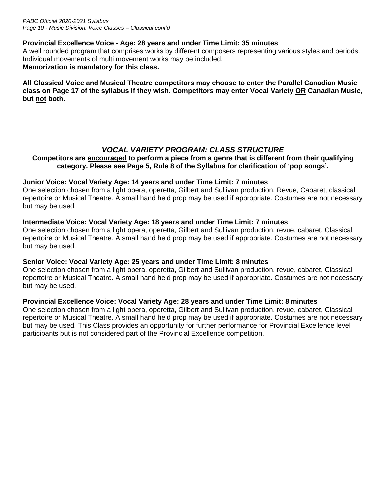### **Provincial Excellence Voice - Age: 28 years and under Time Limit: 35 minutes**

A well rounded program that comprises works by different composers representing various styles and periods. Individual movements of multi movement works may be included. **Memorization is mandatory for this class.**

**All Classical Voice and Musical Theatre competitors may choose to enter the Parallel Canadian Music class on Page 17 of the syllabus if they wish. Competitors may enter Vocal Variety OR Canadian Music, but not both.**

# *VOCAL VARIETY PROGRAM: CLASS STRUCTURE*

### **Competitors are encouraged to perform a piece from a genre that is different from their qualifying category. Please see Page 5, Rule 8 of the Syllabus for clarification of 'pop songs'.**

### **Junior Voice: Vocal Variety Age: 14 years and under Time Limit: 7 minutes**

One selection chosen from a light opera, operetta, Gilbert and Sullivan production, Revue, Cabaret, classical repertoire or Musical Theatre. A small hand held prop may be used if appropriate. Costumes are not necessary but may be used.

### **Intermediate Voice: Vocal Variety Age: 18 years and under Time Limit: 7 minutes**

One selection chosen from a light opera, operetta, Gilbert and Sullivan production, revue, cabaret, Classical repertoire or Musical Theatre. A small hand held prop may be used if appropriate. Costumes are not necessary but may be used.

# **Senior Voice: Vocal Variety Age: 25 years and under Time Limit: 8 minutes**

One selection chosen from a light opera, operetta, Gilbert and Sullivan production, revue, cabaret, Classical repertoire or Musical Theatre. A small hand held prop may be used if appropriate. Costumes are not necessary but may be used.

### **Provincial Excellence Voice: Vocal Variety Age: 28 years and under Time Limit: 8 minutes**

One selection chosen from a light opera, operetta, Gilbert and Sullivan production, revue, cabaret, Classical repertoire or Musical Theatre. A small hand held prop may be used if appropriate. Costumes are not necessary but may be used. This Class provides an opportunity for further performance for Provincial Excellence level participants but is not considered part of the Provincial Excellence competition.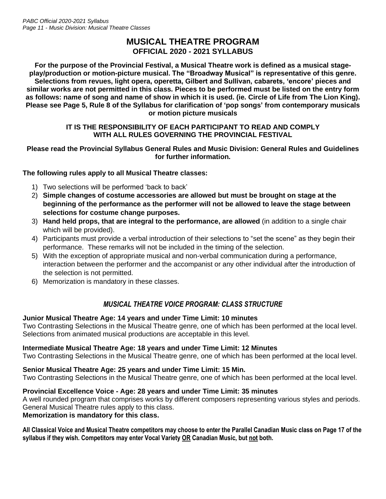# **MUSICAL THEATRE PROGRAM OFFICIAL 2020 - 2021 SYLLABUS**

**For the purpose of the Provincial Festival, a Musical Theatre work is defined as a musical stageplay/production or motion-picture musical. The "Broadway Musical" is representative of this genre. Selections from revues, light opera, operetta, Gilbert and Sullivan, cabarets, 'encore' pieces and similar works are not permitted in this class. Pieces to be performed must be listed on the entry form as follows: name of song and name of show in which it is used. (ie. Circle of Life from The Lion King). Please see Page 5, Rule 8 of the Syllabus for clarification of 'pop songs' from contemporary musicals or motion picture musicals**

### **IT IS THE RESPONSIBILITY OF EACH PARTICIPANT TO READ AND COMPLY WITH ALL RULES GOVERNING THE PROVINCIAL FESTIVAL**

#### **Please read the Provincial Syllabus General Rules and Music Division: General Rules and Guidelines for further information.**

### **The following rules apply to all Musical Theatre classes:**

- 1) Two selections will be performed 'back to back'
- 2) **Simple changes of costume accessories are allowed but must be brought on stage at the beginning of the performance as the performer will not be allowed to leave the stage between selections for costume change purposes.**
- 3) **Hand held props, that are integral to the performance, are allowed** (in addition to a single chair which will be provided).
- 4) Participants must provide a verbal introduction of their selections to "set the scene" as they begin their performance. These remarks will not be included in the timing of the selection.
- 5) With the exception of appropriate musical and non-verbal communication during a performance, interaction between the performer and the accompanist or any other individual after the introduction of the selection is not permitted.
- 6) Memorization is mandatory in these classes.

# *MUSICAL THEATRE VOICE PROGRAM: CLASS STRUCTURE*

### **Junior Musical Theatre Age: 14 years and under Time Limit: 10 minutes**

Two Contrasting Selections in the Musical Theatre genre, one of which has been performed at the local level. Selections from animated musical productions are acceptable in this level.

### **Intermediate Musical Theatre Age: 18 years and under Time Limit: 12 Minutes**

Two Contrasting Selections in the Musical Theatre genre, one of which has been performed at the local level.

# **Senior Musical Theatre Age: 25 years and under Time Limit: 15 Min.**

Two Contrasting Selections in the Musical Theatre genre, one of which has been performed at the local level.

### **Provincial Excellence Voice - Age: 28 years and under Time Limit: 35 minutes**

A well rounded program that comprises works by different composers representing various styles and periods. General Musical Theatre rules apply to this class.

### **Memorization is mandatory for this class.**

**All Classical Voice and Musical Theatre competitors may choose to enter the Parallel Canadian Music class on Page 17 of the syllabus if they wish. Competitors may enter Vocal Variety OR Canadian Music, but not both.**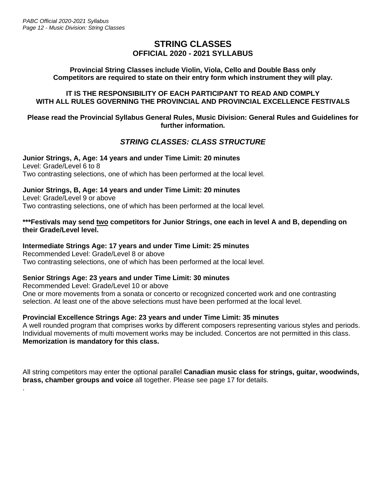.

# **STRING CLASSES OFFICIAL 2020 - 2021 SYLLABUS**

### **Provincial String Classes include Violin, Viola, Cello and Double Bass only Competitors are required to state on their entry form which instrument they will play.**

### **IT IS THE RESPONSIBILITY OF EACH PARTICIPANT TO READ AND COMPLY WITH ALL RULES GOVERNING THE PROVINCIAL AND PROVINCIAL EXCELLENCE FESTIVALS**

#### **Please read the Provincial Syllabus General Rules, Music Division: General Rules and Guidelines for further information.**

# *STRING CLASSES: CLASS STRUCTURE*

**Junior Strings, A, Age: 14 years and under Time Limit: 20 minutes** Level: Grade/Level 6 to 8 Two contrasting selections, one of which has been performed at the local level.

# **Junior Strings, B, Age: 14 years and under Time Limit: 20 minutes**

Level: Grade/Level 9 or above Two contrasting selections, one of which has been performed at the local level.

### \*\*\*Festivals may send two competitors for Junior Strings, one each in level A and B, depending on **their Grade/Level level.**

# **Intermediate Strings Age: 17 years and under Time Limit: 25 minutes**

Recommended Level: Grade/Level 8 or above Two contrasting selections, one of which has been performed at the local level.

# **Senior Strings Age: 23 years and under Time Limit: 30 minutes**

Recommended Level: Grade/Level 10 or above One or more movements from a sonata or concerto or recognized concerted work and one contrasting selection. At least one of the above selections must have been performed at the local level.

### **Provincial Excellence Strings Age: 23 years and under Time Limit: 35 minutes**

A well rounded program that comprises works by different composers representing various styles and periods. Individual movements of multi movement works may be included. Concertos are not permitted in this class. **Memorization is mandatory for this class.**

All string competitors may enter the optional parallel **Canadian music class for strings, guitar, woodwinds, brass, chamber groups and voice** all together. Please see page 17 for details.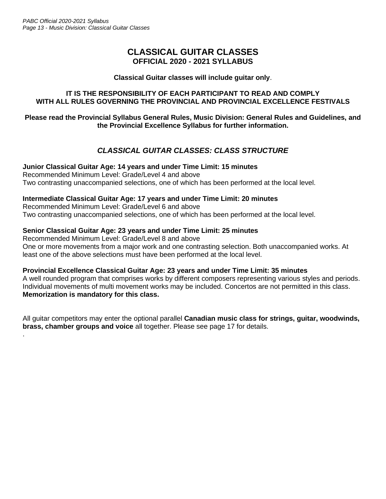.

# **CLASSICAL GUITAR CLASSES OFFICIAL 2020 - 2021 SYLLABUS**

#### **Classical Guitar classes will include guitar only**.

### **IT IS THE RESPONSIBILITY OF EACH PARTICIPANT TO READ AND COMPLY WITH ALL RULES GOVERNING THE PROVINCIAL AND PROVINCIAL EXCELLENCE FESTIVALS**

### **Please read the Provincial Syllabus General Rules, Music Division: General Rules and Guidelines, and the Provincial Excellence Syllabus for further information.**

# *CLASSICAL GUITAR CLASSES: CLASS STRUCTURE*

**Junior Classical Guitar Age: 14 years and under Time Limit: 15 minutes** Recommended Minimum Level: Grade/Level 4 and above Two contrasting unaccompanied selections, one of which has been performed at the local level.

### **Intermediate Classical Guitar Age: 17 years and under Time Limit: 20 minutes**

Recommended Minimum Level: Grade/Level 6 and above Two contrasting unaccompanied selections, one of which has been performed at the local level.

### **Senior Classical Guitar Age: 23 years and under Time Limit: 25 minutes**

Recommended Minimum Level: Grade/Level 8 and above One or more movements from a major work and one contrasting selection. Both unaccompanied works. At least one of the above selections must have been performed at the local level.

### **Provincial Excellence Classical Guitar Age: 23 years and under Time Limit: 35 minutes**

A well rounded program that comprises works by different composers representing various styles and periods. Individual movements of multi movement works may be included. Concertos are not permitted in this class. **Memorization is mandatory for this class.**

All guitar competitors may enter the optional parallel **Canadian music class for strings, guitar, woodwinds, brass, chamber groups and voice** all together. Please see page 17 for details.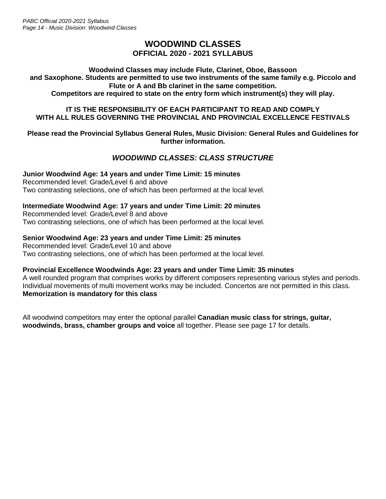# **WOODWIND CLASSES OFFICIAL 2020 - 2021 SYLLABUS**

**Woodwind Classes may include Flute, Clarinet, Oboe, Bassoon and Saxophone. Students are permitted to use two instruments of the same family e.g. Piccolo and Flute or A and Bb clarinet in the same competition. Competitors are required to state on the entry form which instrument(s) they will play.**

### **IT IS THE RESPONSIBILITY OF EACH PARTICIPANT TO READ AND COMPLY WITH ALL RULES GOVERNING THE PROVINCIAL AND PROVINCIAL EXCELLENCE FESTIVALS**

#### **Please read the Provincial Syllabus General Rules, Music Division: General Rules and Guidelines for further information.**

# *WOODWIND CLASSES: CLASS STRUCTURE*

# **Junior Woodwind Age: 14 years and under Time Limit: 15 minutes**

Recommended level: Grade/Level 6 and above Two contrasting selections, one of which has been performed at the local level.

### **Intermediate Woodwind Age: 17 years and under Time Limit: 20 minutes**

Recommended level: Grade/Level 8 and above Two contrasting selections, one of which has been performed at the local level.

### **Senior Woodwind Age: 23 years and under Time Limit: 25 minutes**

Recommended level: Grade/Level 10 and above Two contrasting selections, one of which has been performed at the local level.

### **Provincial Excellence Woodwinds Age: 23 years and under Time Limit: 35 minutes**

A well rounded program that comprises works by different composers representing various styles and periods. Individual movements of multi movement works may be included. Concertos are not permitted in this class. **Memorization is mandatory for this class**

All woodwind competitors may enter the optional parallel **Canadian music class for strings, guitar, woodwinds, brass, chamber groups and voice** all together. Please see page 17 for details.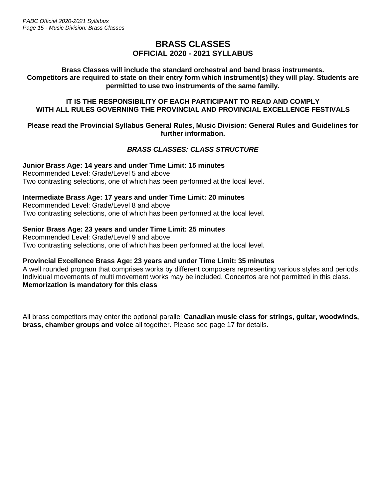# **BRASS CLASSES OFFICIAL 2020 - 2021 SYLLABUS**

#### **Brass Classes will include the standard orchestral and band brass instruments. Competitors are required to state on their entry form which instrument(s) they will play. Students are permitted to use two instruments of the same family.**

#### **IT IS THE RESPONSIBILITY OF EACH PARTICIPANT TO READ AND COMPLY WITH ALL RULES GOVERNING THE PROVINCIAL AND PROVINCIAL EXCELLENCE FESTIVALS**

#### **Please read the Provincial Syllabus General Rules, Music Division: General Rules and Guidelines for further information.**

# *BRASS CLASSES: CLASS STRUCTURE*

**Junior Brass Age: 14 years and under Time Limit: 15 minutes** Recommended Level: Grade/Level 5 and above Two contrasting selections, one of which has been performed at the local level.

### **Intermediate Brass Age: 17 years and under Time Limit: 20 minutes**

Recommended Level: Grade/Level 8 and above Two contrasting selections, one of which has been performed at the local level.

### **Senior Brass Age: 23 years and under Time Limit: 25 minutes**

Recommended Level: Grade/Level 9 and above Two contrasting selections, one of which has been performed at the local level.

### **Provincial Excellence Brass Age: 23 years and under Time Limit: 35 minutes**

A well rounded program that comprises works by different composers representing various styles and periods. Individual movements of multi movement works may be included. Concertos are not permitted in this class. **Memorization is mandatory for this class**

All brass competitors may enter the optional parallel **Canadian music class for strings, guitar, woodwinds, brass, chamber groups and voice** all together. Please see page 17 for details.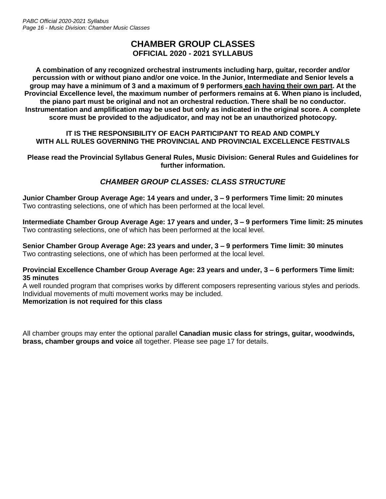# **CHAMBER GROUP CLASSES OFFICIAL 2020 - 2021 SYLLABUS**

**A combination of any recognized orchestral instruments including harp, guitar, recorder and/or percussion with or without piano and/or one voice. In the Junior, Intermediate and Senior levels a group may have a minimum of 3 and a maximum of 9 performers each having their own part. At the Provincial Excellence level, the maximum number of performers remains at 6. When piano is included, the piano part must be original and not an orchestral reduction. There shall be no conductor. Instrumentation and amplification may be used but only as indicated in the original score. A complete score must be provided to the adjudicator, and may not be an unauthorized photocopy.**

### **IT IS THE RESPONSIBILITY OF EACH PARTICIPANT TO READ AND COMPLY WITH ALL RULES GOVERNING THE PROVINCIAL AND PROVINCIAL EXCELLENCE FESTIVALS**

**Please read the Provincial Syllabus General Rules, Music Division: General Rules and Guidelines for further information.**

# *CHAMBER GROUP CLASSES: CLASS STRUCTURE*

**Junior Chamber Group Average Age: 14 years and under, 3 – 9 performers Time limit: 20 minutes** Two contrasting selections, one of which has been performed at the local level.

**Intermediate Chamber Group Average Age: 17 years and under, 3 – 9 performers Time limit: 25 minutes** Two contrasting selections, one of which has been performed at the local level.

**Senior Chamber Group Average Age: 23 years and under, 3 – 9 performers Time limit: 30 minutes** Two contrasting selections, one of which has been performed at the local level.

#### **Provincial Excellence Chamber Group Average Age: 23 years and under, 3 – 6 performers Time limit: 35 minutes**

A well rounded program that comprises works by different composers representing various styles and periods. Individual movements of multi movement works may be included. **Memorization is not required for this class**

All chamber groups may enter the optional parallel **Canadian music class for strings, guitar, woodwinds, brass, chamber groups and voice** all together. Please see page 17 for details.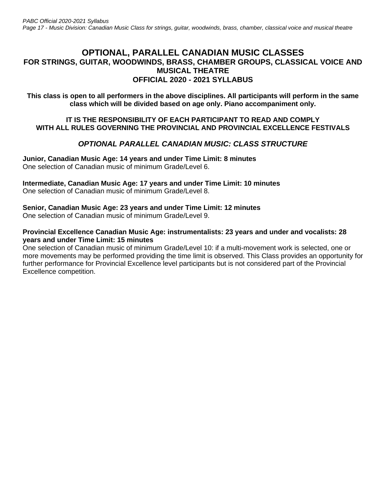# **OPTIONAL, PARALLEL CANADIAN MUSIC CLASSES FOR STRINGS, GUITAR, WOODWINDS, BRASS, CHAMBER GROUPS, CLASSICAL VOICE AND MUSICAL THEATRE OFFICIAL 2020 - 2021 SYLLABUS**

**This class is open to all performers in the above disciplines. All participants will perform in the same class which will be divided based on age only. Piano accompaniment only.**

#### **IT IS THE RESPONSIBILITY OF EACH PARTICIPANT TO READ AND COMPLY WITH ALL RULES GOVERNING THE PROVINCIAL AND PROVINCIAL EXCELLENCE FESTIVALS**

# *OPTIONAL PARALLEL CANADIAN MUSIC: CLASS STRUCTURE*

**Junior, Canadian Music Age: 14 years and under Time Limit: 8 minutes** One selection of Canadian music of minimum Grade/Level 6.

**Intermediate, Canadian Music Age: 17 years and under Time Limit: 10 minutes** One selection of Canadian music of minimum Grade/Level 8.

### **Senior, Canadian Music Age: 23 years and under Time Limit: 12 minutes**

One selection of Canadian music of minimum Grade/Level 9.

#### **Provincial Excellence Canadian Music Age: instrumentalists: 23 years and under and vocalists: 28 years and under Time Limit: 15 minutes**

One selection of Canadian music of minimum Grade/Level 10: if a multi-movement work is selected, one or more movements may be performed providing the time limit is observed. This Class provides an opportunity for further performance for Provincial Excellence level participants but is not considered part of the Provincial Excellence competition.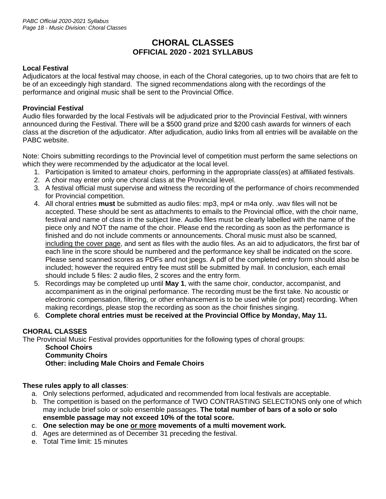# **CHORAL CLASSES OFFICIAL 2020 - 2021 SYLLABUS**

# **Local Festival**

Adjudicators at the local festival may choose, in each of the Choral categories, up to two choirs that are felt to be of an exceedingly high standard. The signed recommendations along with the recordings of the performance and original music shall be sent to the Provincial Office.

### **Provincial Festival**

Audio files forwarded by the local Festivals will be adjudicated prior to the Provincial Festival, with winners announced during the Festival. There will be a \$500 grand prize and \$200 cash awards for winners of each class at the discretion of the adjudicator. After adjudication, audio links from all entries will be available on the PABC website.

Note: Choirs submitting recordings to the Provincial level of competition must perform the same selections on which they were recommended by the adjudicator at the local level.

- 1. Participation is limited to amateur choirs, performing in the appropriate class(es) at affiliated festivals.
- 2. A choir may enter only one choral class at the Provincial level.
- 3. A festival official must supervise and witness the recording of the performance of choirs recommended for Provincial competition.
- 4. All choral entries **must** be submitted as audio files: mp3, mp4 or m4a only. .wav files will not be accepted. These should be sent as attachments to emails to the Provincial office, with the choir name, festival and name of class in the subject line. Audio files must be clearly labelled with the name of the piece only and NOT the name of the choir. Please end the recording as soon as the performance is finished and do not include comments or announcements. Choral music must also be scanned, including the cover page, and sent as files with the audio files. As an aid to adjudicators, the first bar of each line in the score should be numbered and the performance key shall be indicated on the score. Please send scanned scores as PDFs and not jpegs. A pdf of the completed entry form should also be included; however the required entry fee must still be submitted by mail. In conclusion, each email should include 5 files: 2 audio files, 2 scores and the entry form.
- 5. Recordings may be completed up until **May 1**, with the same choir, conductor, accompanist, and accompaniment as in the original performance. The recording must be the first take. No acoustic or electronic compensation, filtering, or other enhancement is to be used while (or post) recording. When making recordings, please stop the recording as soon as the choir finishes singing.
- 6. **Complete choral entries must be received at the Provincial Office by Monday, May 11.**

# **CHORAL CLASSES**

The Provincial Music Festival provides opportunities for the following types of choral groups:

**School Choirs Community Choirs Other: including Male Choirs and Female Choirs**

### **These rules apply to all classes**:

- a. Only selections performed, adjudicated and recommended from local festivals are acceptable.
- b. The competition is based on the performance of TWO CONTRASTING SELECTIONS only one of which may include brief solo or solo ensemble passages. **The total number of bars of a solo or solo ensemble passage may not exceed 10% of the total score.**
- c. **One selection may be one or more movements of a multi movement work.**
- d. Ages are determined as of December 31 preceding the festival.
- e. Total Time limit: 15 minutes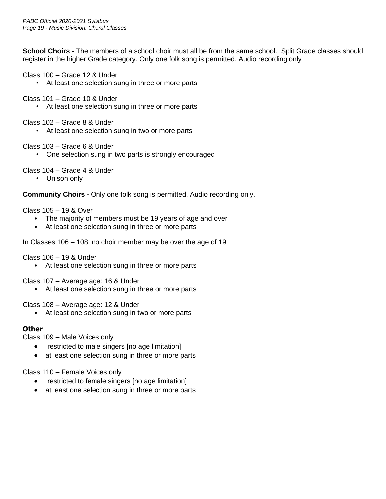**School Choirs -** The members of a school choir must all be from the same school. Split Grade classes should register in the higher Grade category. Only one folk song is permitted. Audio recording only

Class 100 – Grade 12 & Under

• At least one selection sung in three or more parts

Class 101 – Grade 10 & Under

At least one selection sung in three or more parts

Class 102 – Grade 8 & Under

• At least one selection sung in two or more parts

Class 103 – Grade 6 & Under

• One selection sung in two parts is strongly encouraged

Class 104 – Grade 4 & Under

• Unison only

**Community Choirs -** Only one folk song is permitted. Audio recording only.

Class 105 – 19 & Over

- The majority of members must be 19 years of age and over
- At least one selection sung in three or more parts

In Classes 106 – 108, no choir member may be over the age of 19

Class 106 – 19 & Under

• At least one selection sung in three or more parts

Class 107 – Average age: 16 & Under

• At least one selection sung in three or more parts

Class 108 – Average age: 12 & Under

• At least one selection sung in two or more parts

### **Other**

Class 109 – Male Voices only

- restricted to male singers [no age limitation]
- at least one selection sung in three or more parts

Class 110 – Female Voices only

- restricted to female singers [no age limitation]
- at least one selection sung in three or more parts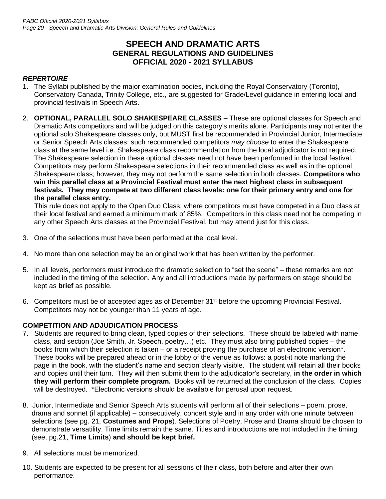# **SPEECH AND DRAMATIC ARTS GENERAL REGULATIONS AND GUIDELINES OFFICIAL 2020 - 2021 SYLLABUS**

# *REPERTOIRE*

- 1. The Syllabi published by the major examination bodies, including the Royal Conservatory (Toronto), Conservatory Canada, Trinity College, etc., are suggested for Grade/Level guidance in entering local and provincial festivals in Speech Arts.
- 2. **OPTIONAL, PARALLEL SOLO SHAKESPEARE CLASSES**  These are optional classes for Speech and Dramatic Arts competitors and will be judged on this category's merits alone. Participants may not enter the optional solo Shakespeare classes only, but MUST first be recommended in Provincial Junior, Intermediate or Senior Speech Arts classes; such recommended competitors *may choose* to enter the Shakespeare class at the same level i.e. Shakespeare class recommendation from the local adjudicator is not required. The Shakespeare selection in these optional classes need not have been performed in the local festival. Competitors may perform Shakespeare selections in their recommended class as well as in the optional Shakespeare class; however, they may not perform the same selection in both classes. **Competitors who win this parallel class at a Provincial Festival must enter the next highest class in subsequent festivals. They may compete at two different class levels: one for their primary entry and one for the parallel class entry.**

This rule does not apply to the Open Duo Class, where competitors must have competed in a Duo class at their local festival and earned a minimum mark of 85%. Competitors in this class need not be competing in any other Speech Arts classes at the Provincial Festival, but may attend just for this class.

- 3. One of the selections must have been performed at the local level.
- 4. No more than one selection may be an original work that has been written by the performer.
- 5. In all levels, performers must introduce the dramatic selection to "set the scene" these remarks are not included in the timing of the selection. Any and all introductions made by performers on stage should be kept as **brief** as possible.
- 6. Competitors must be of accepted ages as of December 31<sup>st</sup> before the upcoming Provincial Festival. Competitors may not be younger than 11 years of age.

### **COMPETITION AND ADJUDICATION PROCESS**

- 7. Students are required to bring clean, typed copies of their selections. These should be labeled with name, class, and section (Joe Smith, Jr. Speech, poetry…) etc. They must also bring published copies – the books from which their selection is taken – or a receipt proving the purchase of an electronic version\*. These books will be prepared ahead or in the lobby of the venue as follows: a post-it note marking the page in the book, with the student's name and section clearly visible. The student will retain all their books and copies until their turn. They will then submit them to the adjudicator's secretary, **in the order in which they will perform their complete program.** Books will be returned at the conclusion of the class. Copies will be destroyed. \*Electronic versions should be available for perusal upon request.
- 8. Junior, Intermediate and Senior Speech Arts students will perform all of their selections poem, prose, drama and sonnet (if applicable) – consecutively, concert style and in any order with one minute between selections (see pg. 21, **Costumes and Props**). Selections of Poetry, Prose and Drama should be chosen to demonstrate versatility. Time limits remain the same. Titles and introductions are not included in the timing (see, pg.21, **Time Limits**) **and should be kept brief.**
- 9. All selections must be memorized.
- 10. Students are expected to be present for all sessions of their class, both before and after their own performance.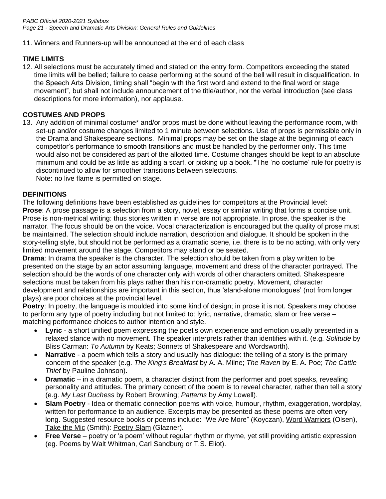### 11. Winners and Runners-up will be announced at the end of each class

# **TIME LIMITS**

12. All selections must be accurately timed and stated on the entry form. Competitors exceeding the stated time limits will be belled; failure to cease performing at the sound of the bell will result in disqualification. In the Speech Arts Division, timing shall "begin with the first word and extend to the final word or stage movement", but shall not include announcement of the title/author, nor the verbal introduction (see class descriptions for more information), nor applause.

# **COSTUMES AND PROPS**

13. Any addition of minimal costume\* and/or props must be done without leaving the performance room, with set-up and/or costume changes limited to 1 minute between selections. Use of props is permissible only in the Drama and Shakespeare sections. Minimal props may be set on the stage at the beginning of each competitor's performance to smooth transitions and must be handled by the performer only. This time would also not be considered as part of the allotted time. Costume changes should be kept to an absolute minimum and could be as little as adding a scarf, or picking up a book. \*The 'no costume' rule for poetry is discontinued to allow for smoother transitions between selections.

Note: no live flame is permitted on stage.

### **DEFINITIONS**

The following definitions have been established as guidelines for competitors at the Provincial level: **Prose**: A prose passage is a selection from a story, novel, essay or similar writing that forms a concise unit. Prose is non-metrical writing: thus stories written in verse are not appropriate. In prose, the speaker is the narrator. The focus should be on the voice. Vocal characterization is encouraged but the quality of prose must be maintained. The selection should include narration, description and dialogue. It should be spoken in the story-telling style, but should not be performed as a dramatic scene, i.e. there is to be no acting, with only very limited movement around the stage. Competitors may stand or be seated.

**Drama**: In drama the speaker is the character. The selection should be taken from a play written to be presented on the stage by an actor assuming language, movement and dress of the character portrayed. The selection should be the words of one character only with words of other characters omitted. Shakespeare selections must be taken from his plays rather than his non-dramatic poetry. Movement, character development and relationships are important in this section, thus 'stand-alone monologues' (not from longer plays) are poor choices at the provincial level.

**Poetry:** In poetry, the language is moulded into some kind of design; in prose it is not. Speakers may choose to perform any type of poetry including but not limited to: lyric, narrative, dramatic, slam or free verse – matching performance choices to author intention and style.

- **Lyric** a short unified poem expressing the poet's own experience and emotion usually presented in a relaxed stance with no movement. The speaker interprets rather than identifies with it. (e.g. *Solitude* by Bliss Carman: *To Autumn* by Keats; Sonnets of Shakespeare and Wordsworth).
- **Narrative** a poem which tells a story and usually has dialogue: the telling of a story is the primary concern of the speaker (e.g. *The King's Breakfast* by A. A. Milne; *The Raven* by E. A. Poe; *The Cattle Thief* by Pauline Johnson).
- **Dramatic** in a dramatic poem, a character distinct from the performer and poet speaks, revealing personality and attitudes. The primary concert of the poem is to reveal character, rather than tell a story (e.g. *My Last Duchess* by Robert Browning; *Patterns* by Amy Lowell).
- **Slam Poetry** Idea or thematic connection poems with voice, humour, rhythm, exaggeration, wordplay, written for performance to an audience. Excerpts may be presented as these poems are often very long. Suggested resource books or poems include: "We Are More" (Koyczan), Word Warriors (Olsen), Take the Mic (Smith): Poetry Slam (Glazner).
- **Free Verse** poetry or 'a poem' without regular rhythm or rhyme, yet still providing artistic expression (eg. Poems by Walt Whitman, Carl Sandburg or T.S. Eliot).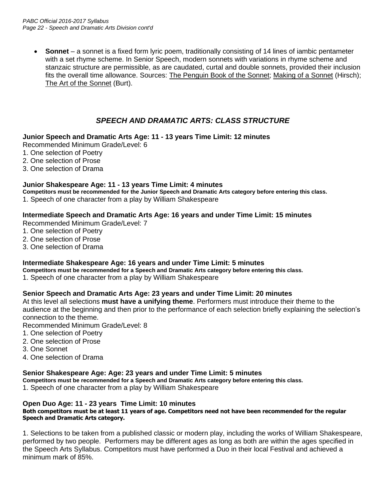• **Sonnet** – a sonnet is a fixed form lyric poem, traditionally consisting of 14 lines of iambic pentameter with a set rhyme scheme. In Senior Speech, modern sonnets with variations in rhyme scheme and stanzaic structure are permissible, as are caudated, curtal and double sonnets, provided their inclusion fits the overall time allowance. Sources: The Penguin Book of the Sonnet; Making of a Sonnet (Hirsch); The Art of the Sonnet (Burt).

# *SPEECH AND DRAMATIC ARTS: CLASS STRUCTURE*

### **Junior Speech and Dramatic Arts Age: 11 - 13 years Time Limit: 12 minutes**

Recommended Minimum Grade/Level: 6

- 1. One selection of Poetry
- 2. One selection of Prose
- 3. One selection of Drama

### **Junior Shakespeare Age: 11 - 13 years Time Limit: 4 minutes**

**Competitors must be recommended for the Junior Speech and Dramatic Arts category before entering this class.**

1. Speech of one character from a play by William Shakespeare

### **Intermediate Speech and Dramatic Arts Age: 16 years and under Time Limit: 15 minutes**

Recommended Minimum Grade/Level: 7

- 1. One selection of Poetry
- 2. One selection of Prose
- 3. One selection of Drama

### **Intermediate Shakespeare Age: 16 years and under Time Limit: 5 minutes**

**Competitors must be recommended for a Speech and Dramatic Arts category before entering this class.**

1. Speech of one character from a play by William Shakespeare

### **Senior Speech and Dramatic Arts Age: 23 years and under Time Limit: 20 minutes**

At this level all selections **must have a unifying theme**. Performers must introduce their theme to the audience at the beginning and then prior to the performance of each selection briefly explaining the selection's connection to the theme.

Recommended Minimum Grade/Level: 8

- 1. One selection of Poetry
- 2. One selection of Prose
- 3. One Sonnet
- 4. One selection of Drama

### **Senior Shakespeare Age: Age: 23 years and under Time Limit: 5 minutes**

**Competitors must be recommended for a Speech and Dramatic Arts category before entering this class.**

1. Speech of one character from a play by William Shakespeare

#### **Open Duo Age: 11 - 23 years Time Limit: 10 minutes**

#### **Both competitors must be at least 11 years of age. Competitors need not have been recommended for the regular Speech and Dramatic Arts category.**

1. Selections to be taken from a published classic or modern play, including the works of William Shakespeare, performed by two people. Performers may be different ages as long as both are within the ages specified in the Speech Arts Syllabus. Competitors must have performed a Duo in their local Festival and achieved a minimum mark of 85%.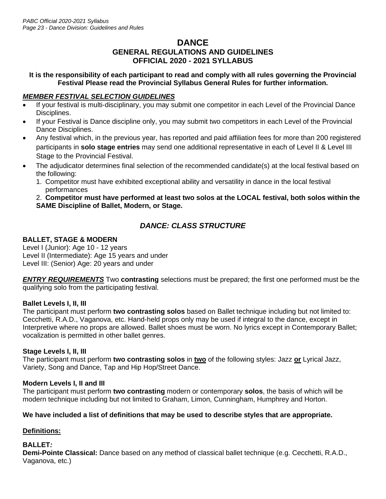# **DANCE GENERAL REGULATIONS AND GUIDELINES OFFICIAL 2020 - 2021 SYLLABUS**

### **It is the responsibility of each participant to read and comply with all rules governing the Provincial Festival Please read the Provincial Syllabus General Rules for further information.**

# *MEMBER FESTIVAL SELECTION GUIDELINES*

- If your festival is multi-disciplinary, you may submit one competitor in each Level of the Provincial Dance Disciplines.
- If your Festival is Dance discipline only, you may submit two competitors in each Level of the Provincial Dance Disciplines.
- Any festival which, in the previous year, has reported and paid affiliation fees for more than 200 registered participants in **solo stage entries** may send one additional representative in each of Level II & Level III Stage to the Provincial Festival.
- The adjudicator determines final selection of the recommended candidate(s) at the local festival based on the following:
	- 1. Competitor must have exhibited exceptional ability and versatility in dance in the local festival performances

2. **Competitor must have performed at least two solos at the LOCAL festival, both solos within the SAME Discipline of Ballet, Modern, or Stage.**

# *DANCE: CLASS STRUCTURE*

# **BALLET, STAGE & MODERN**

Level I (Junior): Age 10 - 12 years Level II (Intermediate): Age 15 years and under Level III: (Senior) Age: 20 years and under

*ENTRY REQUIREMENTS* Two **contrasting** selections must be prepared; the first one performed must be the qualifying solo from the participating festival.

# **Ballet Levels I, II, III**

The participant must perform **two contrasting solos** based on Ballet technique including but not limited to: Cecchetti, R.A.D., Vaganova, etc. Hand-held props only may be used if integral to the dance, except in Interpretive where no props are allowed. Ballet shoes must be worn. No lyrics except in Contemporary Ballet; vocalization is permitted in other ballet genres.

### **Stage Levels I, II, III**

The participant must perform **two contrasting solos** in **two** of the following styles: Jazz **or** Lyrical Jazz, Variety, Song and Dance, Tap and Hip Hop/Street Dance.

### **Modern Levels I, II and III**

The participant must perform **two contrasting** modern or contemporary **solos**, the basis of which will be modern technique including but not limited to Graham, Limon, Cunningham, Humphrey and Horton.

# **We have included a list of definitions that may be used to describe styles that are appropriate.**

# **Definitions:**

### **BALLET***:*

**Demi-Pointe Classical:** Dance based on any method of classical ballet technique (e.g. Cecchetti, R.A.D., Vaganova, etc.)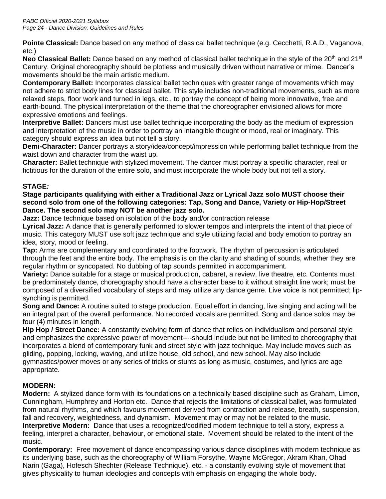**Pointe Classical:** Dance based on any method of classical ballet technique (e.g. Cecchetti, R.A.D., Vaganova, etc.)

**Neo Classical Ballet:** Dance based on any method of classical ballet technique in the style of the 20<sup>th</sup> and 21<sup>st</sup> Century. Original choreography should be plotless and musically driven without narrative or mime. Dancer's movements should be the main artistic medium.

**Contemporary Ballet:** Incorporates classical ballet techniques with greater range of movements which may not adhere to strict body lines for classical ballet. This style includes non-traditional movements, such as more relaxed steps, floor work and turned in legs, etc., to portray the concept of being more innovative, free and earth-bound. The physical interpretation of the theme that the choreographer envisioned allows for more expressive emotions and feelings.

**Interpretive Ballet:** Dancers must use ballet technique incorporating the body as the medium of expression and interpretation of the music in order to portray an intangible thought or mood, real or imaginary. This category should express an idea but not tell a story.

**Demi-Character:** Dancer portrays a story/idea/concept/impression while performing ballet technique from the waist down and character from the waist up.

**Character:** Ballet technique with stylized movement. The dancer must portray a specific character, real or fictitious for the duration of the entire solo, and must incorporate the whole body but not tell a story.

# **STAGE***:*

**Stage participants qualifying with either a Traditional Jazz or Lyrical Jazz solo MUST choose their second solo from one of the following categories: Tap, Song and Dance, Variety or Hip-Hop/Street Dance. The second solo may NOT be another jazz solo.** 

**Jazz:** Dance technique based on isolation of the body and/or contraction release

**Lyrical Jazz:** A dance that is generally performed to slower tempos and interprets the intent of that piece of music. This category MUST use soft jazz technique and style utilizing facial and body emotion to portray an idea, story, mood or feeling.

**Tap:** Arms are complementary and coordinated to the footwork. The rhythm of percussion is articulated through the feet and the entire body. The emphasis is on the clarity and shading of sounds, whether they are regular rhythm or syncopated. No dubbing of tap sounds permitted in accompaniment.

**Variety:** Dance suitable for a stage or musical production, cabaret, a review, live theatre, etc. Contents must be predominately dance, choreography should have a character base to it without straight line work; must be composed of a diversified vocabulary of steps and may utilize any dance genre. Live voice is not permitted; lipsynching is permitted.

**Song and Dance:** A routine suited to stage production. Equal effort in dancing, live singing and acting will be an integral part of the overall performance. No recorded vocals are permitted. Song and dance solos may be four (4) minutes in length.

**Hip Hop / Street Dance:** A constantly evolving form of dance that relies on individualism and personal style and emphasizes the expressive power of movement----should include but not be limited to choreography that incorporates a blend of contemporary funk and street style with jazz technique. May include moves such as gliding, popping, locking, waving, and utilize house, old school, and new school. May also include gymnastics/power moves or any series of tricks or stunts as long as music, costumes, and lyrics are age appropriate.

# **MODERN:**

**Modern:**A stylized dance form with its foundations on a technically based discipline such as Graham, Limon, Cunningham, Humphrey and Horton etc. Dance that rejects the limitations of classical ballet, was formulated from natural rhythms, and which favours movement derived from contraction and release, breath, suspension, fall and recovery, weightedness, and dynamism. Movement may or may not be related to the music. **Interpretive Modern:** Dance that uses a recognized/codified modern technique to tell a story, express a feeling, interpret a character, behaviour, or emotional state. Movement should be related to the intent of the music.

**Contemporary:** Free movement of dance encompassing various dance disciplines with modern technique as its underlying base, such as the choreography of William Forsythe, Wayne McGregor, Akram Khan, Ohad Narin (Gaga), Hofesch Shechter (Release Technique), etc. - a constantly evolving style of movement that gives physicality to human ideologies and concepts with emphasis on engaging the whole body.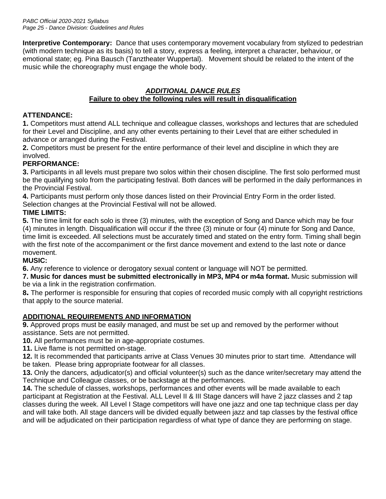**Interpretive Contemporary:** Dance that uses contemporary movement vocabulary from stylized to pedestrian (with modern technique as its basis) to tell a story, express a feeling, interpret a character, behaviour, or emotional state; eg. Pina Bausch (Tanztheater Wuppertal). Movement should be related to the intent of the music while the choreography must engage the whole body.

# *ADDITIONAL DANCE RULES* **Failure to obey the following rules will result in disqualification**

# **ATTENDANCE:**

**1.** Competitors must attend ALL technique and colleague classes, workshops and lectures that are scheduled for their Level and Discipline, and any other events pertaining to their Level that are either scheduled in advance or arranged during the Festival.

**2.** Competitors must be present for the entire performance of their level and discipline in which they are involved.

# **PERFORMANCE:**

**3.** Participants in all levels must prepare two solos within their chosen discipline. The first solo performed must be the qualifying solo from the participating festival. Both dances will be performed in the daily performances in the Provincial Festival.

**4.** Participants must perform only those dances listed on their Provincial Entry Form in the order listed. Selection changes at the Provincial Festival will not be allowed.

# **TIME LIMITS:**

**5.** The time limit for each solo is three (3) minutes, with the exception of Song and Dance which may be four (4) minutes in length. Disqualification will occur if the three (3) minute or four (4) minute for Song and Dance, time limit is exceeded. All selections must be accurately timed and stated on the entry form. Timing shall begin with the first note of the accompaniment or the first dance movement and extend to the last note or dance movement.

# **MUSIC:**

**6.** Any reference to violence or derogatory sexual content or language will NOT be permitted.

**7. Music for dances must be submitted electronically in MP3, MP4 or m4a format.** Music submission will be via a link in the registration confirmation.

**8.** The performer is responsible for ensuring that copies of recorded music comply with all copyright restrictions that apply to the source material.

# **ADDITIONAL REQUIREMENTS AND INFORMATION**

**9.** Approved props must be easily managed, and must be set up and removed by the performer without assistance. Sets are not permitted.

**10.** All performances must be in age-appropriate costumes.

**11.** Live flame is not permitted on-stage.

**12.** It is recommended that participants arrive at Class Venues 30 minutes prior to start time. Attendance will be taken. Please bring appropriate footwear for all classes.

**13.** Only the dancers, adjudicator(s) and official volunteer(s) such as the dance writer/secretary may attend the Technique and Colleague classes, or be backstage at the performances.

**14.** The schedule of classes, workshops, performances and other events will be made available to each participant at Registration at the Festival. ALL Level II & III Stage dancers will have 2 jazz classes and 2 tap classes during the week. All Level I Stage competitors will have one jazz and one tap technique class per day and will take both. All stage dancers will be divided equally between jazz and tap classes by the festival office and will be adjudicated on their participation regardless of what type of dance they are performing on stage.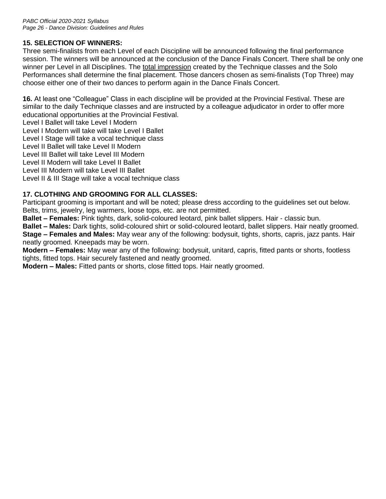# **15. SELECTION OF WINNERS:**

Three semi-finalists from each Level of each Discipline will be announced following the final performance session. The winners will be announced at the conclusion of the Dance Finals Concert. There shall be only one winner per Level in all Disciplines. The total impression created by the Technique classes and the Solo Performances shall determine the final placement. Those dancers chosen as semi-finalists (Top Three) may choose either one of their two dances to perform again in the Dance Finals Concert.

**16.** At least one "Colleague" Class in each discipline will be provided at the Provincial Festival. These are similar to the daily Technique classes and are instructed by a colleague adjudicator in order to offer more educational opportunities at the Provincial Festival.

Level I Ballet will take Level I Modern

Level I Modern will take will take Level I Ballet

Level I Stage will take a vocal technique class

Level II Ballet will take Level II Modern

Level III Ballet will take Level III Modern

Level II Modern will take Level II Ballet

Level III Modern will take Level III Ballet

Level II & III Stage will take a vocal technique class

# **17. CLOTHING AND GROOMING FOR ALL CLASSES:**

Participant grooming is important and will be noted; please dress according to the guidelines set out below. Belts, trims, jewelry, leg warmers, loose tops, etc. are not permitted.

**Ballet – Females:** Pink tights, dark, solid-coloured leotard, pink ballet slippers. Hair - classic bun.

**Ballet – Males:** Dark tights, solid-coloured shirt or solid-coloured leotard, ballet slippers. Hair neatly groomed. **Stage – Females and Males:** May wear any of the following: bodysuit, tights, shorts, capris, jazz pants. Hair neatly groomed. Kneepads may be worn.

**Modern – Females:** May wear any of the following: bodysuit, unitard, capris, fitted pants or shorts, footless tights, fitted tops. Hair securely fastened and neatly groomed.

**Modern – Males:** Fitted pants or shorts, close fitted tops. Hair neatly groomed.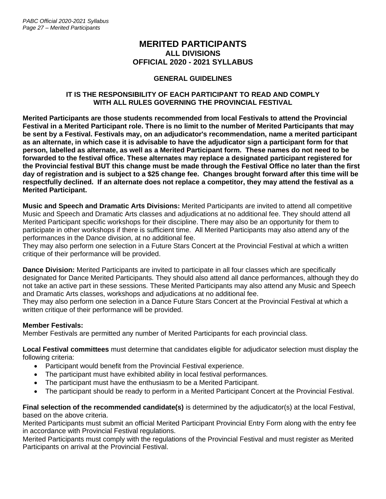# **MERITED PARTICIPANTS ALL DIVISIONS OFFICIAL 2020 - 2021 SYLLABUS**

### **GENERAL GUIDELINES**

#### **IT IS THE RESPONSIBILITY OF EACH PARTICIPANT TO READ AND COMPLY WITH ALL RULES GOVERNING THE PROVINCIAL FESTIVAL**

**Merited Participants are those students recommended from local Festivals to attend the Provincial Festival in a Merited Participant role. There is no limit to the number of Merited Participants that may be sent by a Festival. Festivals may, on an adjudicator's recommendation, name a merited participant as an alternate, in which case it is advisable to have the adjudicator sign a participant form for that person, labelled as alternate, as well as a Merited Participant form. These names do not need to be forwarded to the festival office. These alternates may replace a designated participant registered for the Provincial festival BUT this change must be made through the Festival Office no later than the first day of registration and is subject to a \$25 change fee. Changes brought forward after this time will be respectfully declined. If an alternate does not replace a competitor, they may attend the festival as a Merited Participant.**

**Music and Speech and Dramatic Arts Divisions:** Merited Participants are invited to attend all competitive Music and Speech and Dramatic Arts classes and adjudications at no additional fee. They should attend all Merited Participant specific workshops for their discipline. There may also be an opportunity for them to participate in other workshops if there is sufficient time. All Merited Participants may also attend any of the performances in the Dance division, at no additional fee.

They may also perform one selection in a Future Stars Concert at the Provincial Festival at which a written critique of their performance will be provided.

**Dance Division:** Merited Participants are invited to participate in all four classes which are specifically designated for Dance Merited Participants. They should also attend all dance performances, although they do not take an active part in these sessions. These Merited Participants may also attend any Music and Speech and Dramatic Arts classes, workshops and adjudications at no additional fee.

They may also perform one selection in a Dance Future Stars Concert at the Provincial Festival at which a written critique of their performance will be provided.

#### **Member Festivals:**

Member Festivals are permitted any number of Merited Participants for each provincial class.

**Local Festival committees** must determine that candidates eligible for adjudicator selection must display the following criteria:

- Participant would benefit from the Provincial Festival experience.
- The participant must have exhibited ability in local festival performances.
- The participant must have the enthusiasm to be a Merited Participant.
- The participant should be ready to perform in a Merited Participant Concert at the Provincial Festival.

**Final selection of the recommended candidate(s)** is determined by the adjudicator(s) at the local Festival, based on the above criteria.

Merited Participants must submit an official Merited Participant Provincial Entry Form along with the entry fee in accordance with Provincial Festival regulations.

Merited Participants must comply with the regulations of the Provincial Festival and must register as Merited Participants on arrival at the Provincial Festival.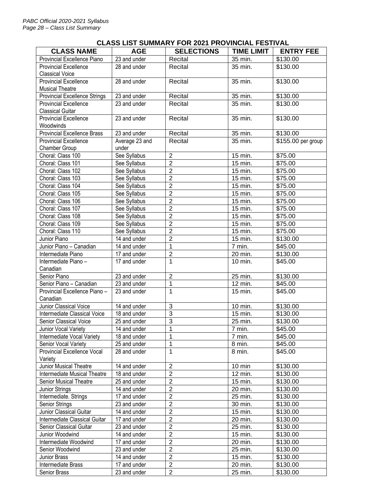# **CLASS LIST SUMMARY FOR 2021 PROVINCIAL FESTIVAL**

| <b>CLASS NAME</b>                    | <b>AGE</b>     | <b>SELECTIONS</b> | <b>TIME LIMIT</b>    | <b>ENTRY FEE</b>   |
|--------------------------------------|----------------|-------------------|----------------------|--------------------|
| Provincial Excellence Piano          | 23 and under   | Recital           | 35 min.              | \$130.00           |
| <b>Provincial Excellence</b>         | 28 and under   | Recital           | 35 min.              | \$130.00           |
| <b>Classical Voice</b>               |                |                   |                      |                    |
| <b>Provincial Excellence</b>         | 28 and under   | Recital           | 35 min.              | \$130.00           |
| <b>Musical Theatre</b>               |                |                   |                      |                    |
| <b>Provincial Excellence Strings</b> | 23 and under   | Recital           | 35 min.              | \$130.00           |
| <b>Provincial Excellence</b>         | 23 and under   | Recital           | 35 min.              | \$130.00           |
| <b>Classical Guitar</b>              |                |                   |                      |                    |
| <b>Provincial Excellence</b>         | 23 and under   | Recital           | 35 min.              | \$130.00           |
| Woodwinds                            |                |                   |                      |                    |
| <b>Provincial Excellence Brass</b>   | 23 and under   | Recital           | 35 min.              | \$130.00           |
| <b>Provincial Excellence</b>         | Average 23 and | Recital           | 35 min.              | \$155.00 per group |
| Chamber Group                        | under          |                   |                      |                    |
| Choral: Class 100                    | See Syllabus   | $\overline{2}$    | 15 min.              | \$75.00            |
| Choral: Class 101                    | See Syllabus   | $\overline{2}$    | 15 min.              | \$75.00            |
| Choral: Class 102                    | See Syllabus   | $\overline{2}$    | 15 min.              | \$75.00            |
| Choral: Class 103                    | See Syllabus   | $\overline{2}$    | 15 min.              | \$75.00            |
| Choral: Class 104                    | See Syllabus   | $\overline{2}$    | 15 min.              | \$75.00            |
| Choral: Class 105                    | See Syllabus   | $\overline{2}$    | 15 min.              | \$75.00            |
| Choral: Class 106                    | See Syllabus   | $\overline{2}$    | 15 min.              | \$75.00            |
| Choral: Class 107                    | See Syllabus   | $\overline{2}$    | 15 min.              | \$75.00            |
| Choral: Class 108                    | See Syllabus   | $\overline{2}$    | 15 min.              | \$75.00            |
| Choral: Class 109                    | See Syllabus   | $\overline{2}$    | 15 min.              | \$75.00            |
| Choral: Class 110                    | See Syllabus   | $\overline{2}$    | 15 min.              | \$75.00            |
| Junior Piano                         | 14 and under   | $\overline{2}$    | 15 min.              | \$130.00           |
| Junior Piano - Canadian              | 14 and under   | $\overline{1}$    | 7 min.               | \$45.00            |
| Intermediate Piano                   | 17 and under   | $\overline{2}$    | 20 min.              | \$130.00           |
| Intermediate Piano-                  | 17 and under   | $\mathbf{1}$      | 10 min.              | \$45.00            |
| Canadian                             |                |                   |                      |                    |
| Senior Piano                         | 23 and under   | $\overline{2}$    | 25 min.              | \$130.00           |
| Senior Piano - Canadian              | 23 and under   | $\mathbf{1}$      | 12 min.              | \$45.00            |
| Provincial Excellence Piano -        | 23 and under   | 1                 | 15 min.              | \$45.00            |
| Canadian                             |                |                   |                      |                    |
| <b>Junior Classical Voice</b>        | 14 and under   | $\overline{3}$    | 10 min.              | \$130.00           |
| Intermediate Classical Voice         | 18 and under   | $\overline{3}$    | 15 min.              | \$130.00           |
| Senior Classical Voice               | 25 and under   | $\overline{3}$    | $\overline{25}$ min. | \$130.00           |
| Junior Vocal Variety                 | 14 and under   | $\overline{1}$    | 7 min.               | \$45.00            |
| Intermediate Vocal Variety           | 18 and under   | 1                 | 7 min.               | \$45.00            |
| Senior Vocal Variety                 | 25 and under   | $\mathbf{1}$      | 8 min.               | \$45.00            |
| Provincial Excellence Vocal          | 28 and under   | 1                 | 8 min.               | \$45.00            |
| Variety                              |                |                   |                      |                    |
| Junior Musical Theatre               | 14 and under   | $\overline{2}$    | 10 min               | \$130.00           |
| Intermediate Musical Theatre         | 18 and under   | $\overline{2}$    | 12 min.              | \$130.00           |
| Senior Musical Theatre               | 25 and under   | $\overline{2}$    | 15 min.              | \$130.00           |
| Junior Strings                       | 14 and under   | $\overline{2}$    | 20 min.              | \$130.00           |
| Intermediate. Strings                | 17 and under   | $\overline{2}$    | 25 min.              | \$130.00           |
| Senior Strings                       | 23 and under   | $\overline{2}$    | 30 min.              | \$130.00           |
| Junior Classical Guitar              | 14 and under   | $\overline{2}$    | 15 min.              | \$130.00           |
| Intermediate Classical Guitar        | 17 and under   | $\overline{2}$    | 20 min.              | \$130.00           |
| Senior Classical Guitar              | 23 and under   | $\overline{2}$    | 25 min.              | \$130.00           |
| Junior Woodwind                      | 14 and under   | $\overline{2}$    | 15 min.              | \$130.00           |
| Intermediate Woodwind                | 17 and under   | $\overline{2}$    | 20 min.              | \$130.00           |
| Senior Woodwind                      | 23 and under   | $\overline{2}$    | 25 min.              | \$130.00           |
|                                      | 14 and under   | $\overline{2}$    | 15 min.              | \$130.00           |
| Junior Brass                         |                | $\overline{2}$    |                      |                    |
| Intermediate Brass                   | 17 and under   | $\overline{2}$    | 20 min.              | \$130.00           |
| Senior Brass                         | 23 and under   |                   | 25 min.              | \$130.00           |